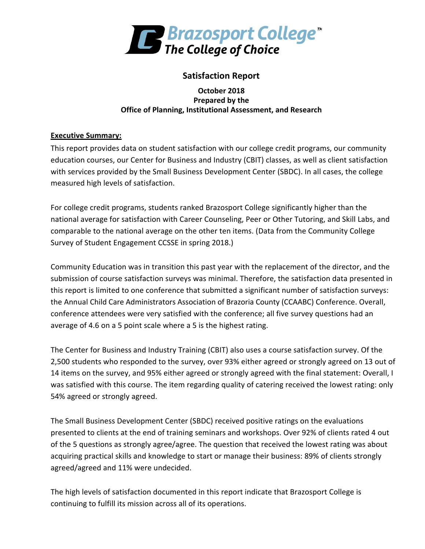

## **Satisfaction Report**

#### **October 2018 Prepared by the Office of Planning, Institutional Assessment, and Research**

### **Executive Summary:**

This report provides data on student satisfaction with our college credit programs, our community education courses, our Center for Business and Industry (CBIT) classes, as well as client satisfaction with services provided by the Small Business Development Center (SBDC). In all cases, the college measured high levels of satisfaction.

For college credit programs, students ranked Brazosport College significantly higher than the national average for satisfaction with Career Counseling, Peer or Other Tutoring, and Skill Labs, and comparable to the national average on the other ten items. (Data from the Community College Survey of Student Engagement CCSSE in spring 2018.)

Community Education was in transition this past year with the replacement of the director, and the submission of course satisfaction surveys was minimal. Therefore, the satisfaction data presented in this report is limited to one conference that submitted a significant number of satisfaction surveys: the Annual Child Care Administrators Association of Brazoria County (CCAABC) Conference. Overall, conference attendees were very satisfied with the conference; all five survey questions had an average of 4.6 on a 5 point scale where a 5 is the highest rating.

The Center for Business and Industry Training (CBIT) also uses a course satisfaction survey. Of the 2,500 students who responded to the survey, over 93% either agreed or strongly agreed on 13 out of 14 items on the survey, and 95% either agreed or strongly agreed with the final statement: Overall, I was satisfied with this course. The item regarding quality of catering received the lowest rating: only 54% agreed or strongly agreed.

The Small Business Development Center (SBDC) received positive ratings on the evaluations presented to clients at the end of training seminars and workshops. Over 92% of clients rated 4 out of the 5 questions as strongly agree/agree. The question that received the lowest rating was about acquiring practical skills and knowledge to start or manage their business: 89% of clients strongly agreed/agreed and 11% were undecided.

The high levels of satisfaction documented in this report indicate that Brazosport College is continuing to fulfill its mission across all of its operations.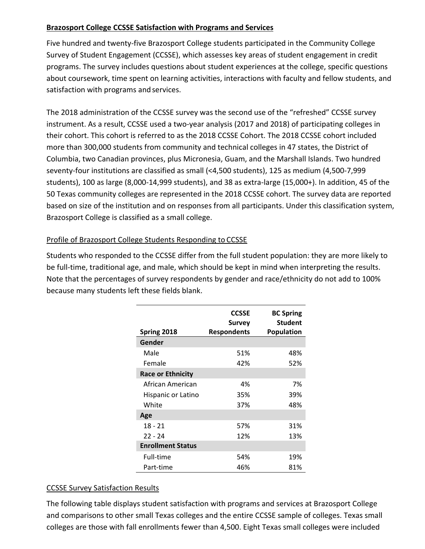#### **Brazosport College CCSSE Satisfaction with Programs and Services**

Five hundred and twenty-five Brazosport College students participated in the Community College Survey of Student Engagement (CCSSE), which assesses key areas of student engagement in credit programs. The survey includes questions about student experiences at the college, specific questions about coursework, time spent on learning activities, interactions with faculty and fellow students, and satisfaction with programs and services.

The 2018 administration of the CCSSE survey was the second use of the "refreshed" CCSSE survey instrument. As a result, CCSSE used a two-year analysis (2017 and 2018) of participating colleges in their cohort. This cohort is referred to as the 2018 CCSSE Cohort. The 2018 CCSSE cohort included more than 300,000 students from community and technical colleges in 47 states, the District of Columbia, two Canadian provinces, plus Micronesia, Guam, and the Marshall Islands. Two hundred seventy-four institutions are classified as small (<4,500 students), 125 as medium (4,500-7,999 students), 100 as large (8,000-14,999 students), and 38 as extra-large (15,000+). In addition, 45 of the 50 Texas community colleges are represented in the 2018 CCSSE cohort. The survey data are reported based on size of the institution and on responses from all participants. Under this classification system, Brazosport College is classified as a small college.

## Profile of Brazosport College Students Responding to CCSSE

Students who responded to the CCSSE differ from the full student population: they are more likely to be full-time, traditional age, and male, which should be kept in mind when interpreting the results. Note that the percentages of survey respondents by gender and race/ethnicity do not add to 100% because many students left these fields blank.

|                          | <b>CCSSE</b><br><b>Survey</b> | <b>BC Spring</b><br><b>Student</b> |
|--------------------------|-------------------------------|------------------------------------|
| Spring 2018              | <b>Respondents</b>            | <b>Population</b>                  |
| Gender                   |                               |                                    |
| Male                     | 51%                           | 48%                                |
| Female                   | 42%                           | 52%                                |
| <b>Race or Ethnicity</b> |                               |                                    |
| African American         | 4%                            | 7%                                 |
| Hispanic or Latino       | 35%                           | 39%                                |
| White                    | 37%                           | 48%                                |
| Age                      |                               |                                    |
| $18 - 21$                | 57%                           | 31%                                |
| $22 - 24$                | 12%                           | 13%                                |
| <b>Enrollment Status</b> |                               |                                    |
| Full-time                | 54%                           | 19%                                |
| Part-time                | 46%                           | 81%                                |

## CCSSE Survey Satisfaction Results

The following table displays student satisfaction with programs and services at Brazosport College and comparisons to other small Texas colleges and the entire CCSSE sample of colleges. Texas small colleges are those with fall enrollments fewer than 4,500. Eight Texas small colleges were included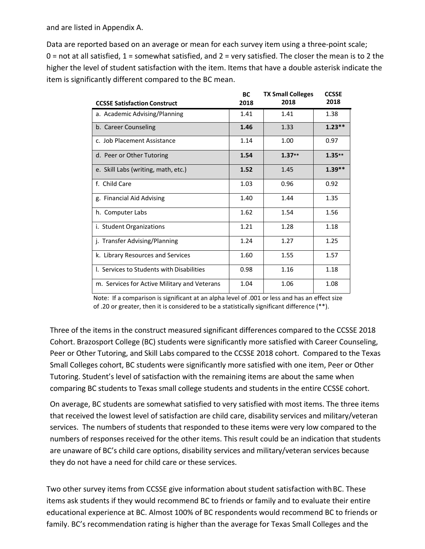and are listed in Appendix A.

Data are reported based on an average or mean for each survey item using a three-point scale;  $0$  = not at all satisfied,  $1$  = somewhat satisfied, and  $2$  = very satisfied. The closer the mean is to 2 the higher the level of student satisfaction with the item. Items that have a double asterisk indicate the item is significantly different compared to the BC mean.

| <b>CCSSE Satisfaction Construct</b>          | <b>BC</b><br>2018 | <b>TX Small Colleges</b><br>2018 | <b>CCSSE</b><br>2018 |
|----------------------------------------------|-------------------|----------------------------------|----------------------|
| a. Academic Advising/Planning                | 1.41              | 1.41                             | 1.38                 |
| b. Career Counseling                         | 1.46              | 1.33                             | $1.23**$             |
| c. Job Placement Assistance                  | 1.14              | 1.00                             | 0.97                 |
| d. Peer or Other Tutoring                    | 1.54              | $1.37**$                         | $1.35**$             |
| e. Skill Labs (writing, math, etc.)          | 1.52              | 1.45                             | $1.39**$             |
| f. Child Care                                | 1.03              | 0.96                             | 0.92                 |
| g. Financial Aid Advising                    | 1.40              | 1.44                             | 1.35                 |
| h. Computer Labs                             | 1.62              | 1.54                             | 1.56                 |
| i. Student Organizations                     | 1.21              | 1.28                             | 1.18                 |
| j. Transfer Advising/Planning                | 1.24              | 1.27                             | 1.25                 |
| k. Library Resources and Services            | 1.60              | 1.55                             | 1.57                 |
| I. Services to Students with Disabilities    | 0.98              | 1.16                             | 1.18                 |
| m. Services for Active Military and Veterans | 1.04              | 1.06                             | 1.08                 |

Note: If a comparison is significant at an alpha level of .001 or less and has an effect size of .20 or greater, then it is considered to be a statistically significant difference (\*\*).

Three of the items in the construct measured significant differences compared to the CCSSE 2018 Cohort. Brazosport College (BC) students were significantly more satisfied with Career Counseling, Peer or Other Tutoring, and Skill Labs compared to the CCSSE 2018 cohort. Compared to the Texas Small Colleges cohort, BC students were significantly more satisfied with one item, Peer or Other Tutoring. Student's level of satisfaction with the remaining items are about the same when comparing BC students to Texas small college students and students in the entire CCSSE cohort.

On average, BC students are somewhat satisfied to very satisfied with most items. The three items that received the lowest level of satisfaction are child care, disability services and military/veteran services. The numbers of students that responded to these items were very low compared to the numbers of responses received for the other items. This result could be an indication that students are unaware of BC's child care options, disability services and military/veteran services because they do not have a need for child care or these services.

Two other survey items from CCSSE give information about student satisfaction with BC. These items ask students if they would recommend BC to friends or family and to evaluate their entire educational experience at BC. Almost 100% of BC respondents would recommend BC to friends or family. BC's recommendation rating is higher than the average for Texas Small Colleges and the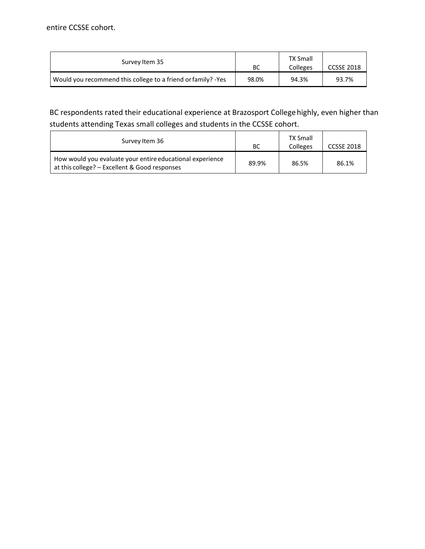| Survey Item 35                                               | ВC    | <b>TX Small</b><br>Colleges | CCSSE 2018 |
|--------------------------------------------------------------|-------|-----------------------------|------------|
| Would you recommend this college to a friend or family? -Yes | 98.0% | 94.3%                       | 93.7%      |

# BC respondents rated their educational experience at Brazosport College highly, even higher than students attending Texas small colleges and students in the CCSSE cohort.

| Survey Item 36                                                                                             | ВC    | <b>TX Small</b><br>Colleges | CCSSE 2018 |
|------------------------------------------------------------------------------------------------------------|-------|-----------------------------|------------|
| How would you evaluate your entire educational experience<br>at this college? - Excellent & Good responses | 89.9% | 86.5%                       | 86.1%      |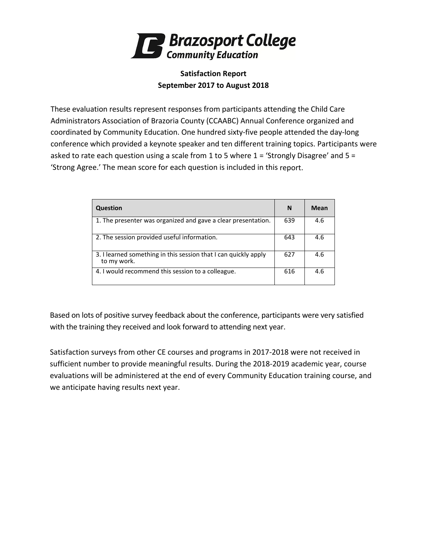

## **Satisfaction Report September 2017 to August 2018**

These evaluation results represent responses from participants attending the Child Care Administrators Association of Brazoria County (CCAABC) Annual Conference organized and coordinated by Community Education. One hundred sixty-five people attended the day-long conference which provided a keynote speaker and ten different training topics. Participants were asked to rate each question using a scale from 1 to 5 where 1 = 'Strongly Disagree' and 5 = 'Strong Agree.' The mean score for each question is included in this report.

| Question                                                                       | N   | Mean |
|--------------------------------------------------------------------------------|-----|------|
| 1. The presenter was organized and gave a clear presentation.                  | 639 | 4.6  |
| 2. The session provided useful information.                                    | 643 | 4.6  |
| 3. I learned something in this session that I can quickly apply<br>to my work. | 627 | 4.6  |
| 4. I would recommend this session to a colleague.                              | 616 | 4.6  |

Based on lots of positive survey feedback about the conference, participants were very satisfied with the training they received and look forward to attending next year.

Satisfaction surveys from other CE courses and programs in 2017-2018 were not received in sufficient number to provide meaningful results. During the 2018-2019 academic year, course evaluations will be administered at the end of every Community Education training course, and we anticipate having results next year.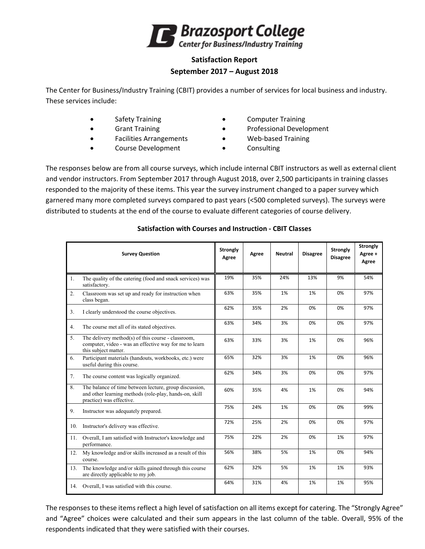

## **Satisfaction Report September 2017 – August 2018**

The Center for Business/Industry Training (CBIT) provides a number of services for local business and industry. These services include:

- 
- 
- Facilities Arrangements Web-based Training
- Course Development Consulting
- Safety Training **•** Computer Training
- Grant Training **•** Professional Development
	-
	-

The responses below are from all course surveys, which include internal CBIT instructors as well as external client and vendor instructors. From September 2017 through August 2018, over 2,500 participants in training classes responded to the majority of these items. This year the survey instrument changed to a paper survey which garnered many more completed surveys compared to past years (<500 completed surveys). The surveys were distributed to students at the end of the course to evaluate different categories of course delivery.

|     | <b>Survey Question</b>                                                                                                                       | <b>Strongly</b><br>Agree | Agree | <b>Neutral</b> | <b>Disagree</b> | <b>Strongly</b><br><b>Disagree</b> | <b>Strongly</b><br>Agree +<br>Agree |
|-----|----------------------------------------------------------------------------------------------------------------------------------------------|--------------------------|-------|----------------|-----------------|------------------------------------|-------------------------------------|
| 1.  | The quality of the catering (food and snack services) was<br>satisfactory.                                                                   | 19%                      | 35%   | 24%            | 13%             | 9%                                 | 54%                                 |
| 2.  | Classroom was set up and ready for instruction when<br>class began.                                                                          | 63%                      | 35%   | 1%             | 1%              | 0%                                 | 97%                                 |
| 3.  | I clearly understood the course objectives.                                                                                                  | 62%                      | 35%   | 2%             | 0%              | 0%                                 | 97%                                 |
| 4.  | The course met all of its stated objectives.                                                                                                 | 63%                      | 34%   | 3%             | 0%              | 0%                                 | 97%                                 |
| 5.  | The delivery method(s) of this course - classroom,<br>computer, video - was an effective way for me to learn<br>this subject matter.         | 63%                      | 33%   | 3%             | 1%              | 0%                                 | 96%                                 |
| 6.  | Participant materials (handouts, workbooks, etc.) were<br>useful during this course.                                                         | 65%                      | 32%   | 3%             | 1%              | 0%                                 | 96%                                 |
| 7.  | The course content was logically organized.                                                                                                  | 62%                      | 34%   | 3%             | 0%              | 0%                                 | 97%                                 |
| 8.  | The balance of time between lecture, group discussion,<br>and other learning methods (role-play, hands-on, skill<br>practice) was effective. | 60%                      | 35%   | 4%             | 1%              | 0%                                 | 94%                                 |
| 9.  | Instructor was adequately prepared.                                                                                                          | 75%                      | 24%   | 1%             | 0%              | 0%                                 | 99%                                 |
| 10. | Instructor's delivery was effective.                                                                                                         | 72%                      | 25%   | 2%             | 0%              | 0%                                 | 97%                                 |
| 11. | Overall, I am satisfied with Instructor's knowledge and<br>performance.                                                                      | 75%                      | 22%   | 2%             | 0%              | 1%                                 | 97%                                 |
| 12. | My knowledge and/or skills increased as a result of this<br>course.                                                                          | 56%                      | 38%   | 5%             | 1%              | 0%                                 | 94%                                 |
| 13. | The knowledge and/or skills gained through this course<br>are directly applicable to my job.                                                 | 62%                      | 32%   | 5%             | 1%              | 1%                                 | 93%                                 |
|     | 14. Overall, I was satisfied with this course.                                                                                               | 64%                      | 31%   | 4%             | 1%              | 1%                                 | 95%                                 |

#### **Satisfaction with Courses and Instruction - CBIT Classes**

The responses to these items reflect a high level of satisfaction on all items except for catering. The "Strongly Agree" and "Agree" choices were calculated and their sum appears in the last column of the table. Overall, 95% of the respondents indicated that they were satisfied with their courses.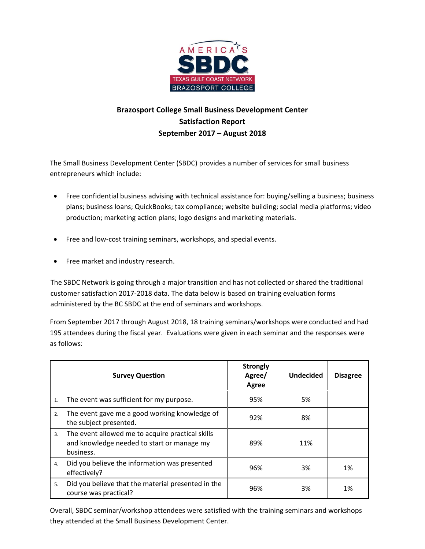

# **Brazosport College Small Business Development Center Satisfaction Report September 2017 – August 2018**

The Small Business Development Center (SBDC) provides a number of services for small business entrepreneurs which include:

- Free confidential business advising with technical assistance for: buying/selling a business; business plans; business loans; QuickBooks; tax compliance; website building; social media platforms; video production; marketing action plans; logo designs and marketing materials.
- Free and low-cost training seminars, workshops, and special events.
- Free market and industry research.

The SBDC Network is going through a major transition and has not collected or shared the traditional customer satisfaction 2017-2018 data. The data below is based on training evaluation forms administered by the BC SBDC at the end of seminars and workshops.

From September 2017 through August 2018, 18 training seminars/workshops were conducted and had 195 attendees during the fiscal year. Evaluations were given in each seminar and the responses were as follows:

|    | <b>Survey Question</b>                                                                                      | <b>Strongly</b><br>Agree/<br>Agree | <b>Undecided</b> | <b>Disagree</b> |
|----|-------------------------------------------------------------------------------------------------------------|------------------------------------|------------------|-----------------|
| 1. | The event was sufficient for my purpose.                                                                    | 95%                                | 5%               |                 |
| 2. | The event gave me a good working knowledge of<br>the subject presented.                                     | 92%                                | 8%               |                 |
| 3. | The event allowed me to acquire practical skills<br>and knowledge needed to start or manage my<br>business. | 89%                                | 11%              |                 |
| 4. | Did you believe the information was presented<br>effectively?                                               | 96%                                | 3%               | 1%              |
| 5. | Did you believe that the material presented in the<br>course was practical?                                 | 96%                                | 3%               | 1%              |

Overall, SBDC seminar/workshop attendees were satisfied with the training seminars and workshops they attended at the Small Business Development Center.